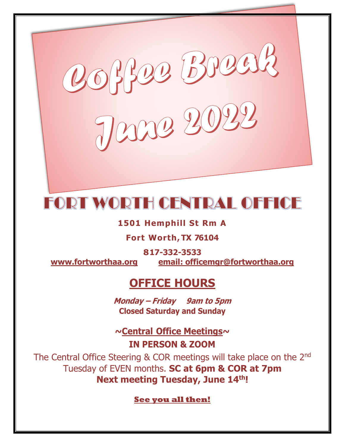

# **FORT WORTH CENTRAL OFFICE**

# **1501 Hemphill St Rm A**

# **Fort Worth, TX 76104**

**817-332-3533 [www.fortworthaa.org](http://www.fortworthaa.org/) email: [officemgr@fortworthaa.org](mailto:officemgr@fortworthaa.org)**

# **OFFICE HOURS**

**Monday – Friday 9am to 5pm Closed Saturday and Sunday**

**~Central Office Meetings~ IN PERSON & ZOOM**

The Central Office Steering & COR meetings will take place on the 2<sup>nd</sup> Tuesday of EVEN months. **SC at 6pm & COR at 7pm Next meeting Tuesday, June 14 th!**

**See you all then!**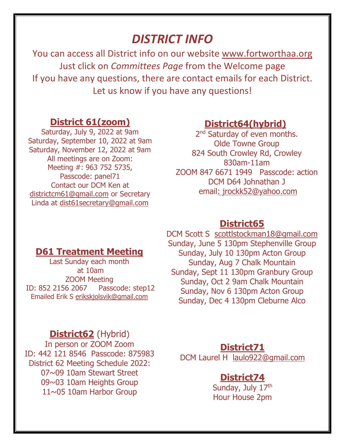# *DISTRICT INFO*

You can access all District info on our website [www.fortworthaa.org](http://www.fortworthaa.org/) Just click on *Committees Page* from the Welcome page If you have any questions, there are contact emails for each District. Let us know if you have any questions!

# **District 61(zoom)**

Saturday, July 9, 2022 at 9am Saturday, September 10, 2022 at 9am Saturday, November 12, 2022 at 9am All meetings are on Zoom: Meeting #: 963 752 5735, Passcode: panel71 Contact our DCM Ken at districtcm61@gmail.com or Secretary Linda at dist61secretary@gmail.com

# **District64(hybrid)**

2<sup>nd</sup> Saturday of even months. Olde Towne Group 824 South Crowley Rd, Crowley 830am-11am ZOOM 847 6671 1949 Passcode: action DCM D64 Johnathan J email: jrockk52@yahoo.com

## **District65**

# **D61 Treatment Meeting**

Last Sunday each month at 10am ZOOM Meeting ID: 852 2156 2067 Passcode: step12 Emailed Erik S [erikskjolsvik@gmail.com](mailto:erikskjolsvik@gmail.com)

# **District62** (Hybrid)

In person or ZOOM Zoom ID: 442 121 8546 Passcode: 875983 District 62 Meeting Schedule 2022: 07~09 10am Stewart Street 09~03 10am Heights Group 11~05 10am Harbor Group

DCM Scott S [scottlstockman18@gmail.com](mailto:scottlstockman18@gmail.com)  Sunday, June 5 130pm Stephenville Group Sunday, July 10 130pm Acton Group Sunday, Aug 7 Chalk Mountain Sunday, Sept 11 130pm Granbury Group Sunday, Oct 2 9am Chalk Mountain Sunday, Nov 6 130pm Acton Group Sunday, Dec 4 130pm Cleburne Alco

## **District71**

DCM Laurel H [laulo922@gmail.com](mailto:laulo922@gmail.com)

# **District74**

Sunday, July 17<sup>th</sup> Hour House 2pm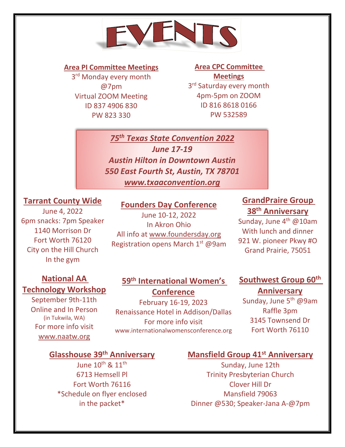

#### **Area PI Committee Meetings**

3<sup>rd</sup> Monday every month @7pm Virtual ZOOM Meeting ID 837 4906 830 PW 823 330

www.neta65.org

# **Area CPC Committee Meetings**

3<sup>rd</sup> Saturday every month 4pm-5pm on ZOOM ID 816 8618 0166 PW 532589

*75th Texas State Convention 2022 June 17-19 Austin Hilton in Downtown Austin 550 East Fourth St, Austin, TX 78701 www.txaaconvention.org*

#### **Tarrant County Wide**

June 4, 2022 6pm snacks: 7pm Speaker 1140 Morrison Dr Fort Worth 76120 City on the Hill Church In the gym

#### **Founders Day Conference**

June 10-12, 2022 In Akron Ohio All info at [www.foundersday.org](http://www.foundersday.org/) Registration opens March 1<sup>st</sup> @9am

## **GrandPraire Group 38th Anniversary**

Sunday, June 4<sup>th</sup> @10am With lunch and dinner 921 W. pioneer Pkwy #O Grand Prairie, 75051

# **National AA Technology Workshop**

September 9th-11th Online and In Person (in Tukwila, WA) For more info visit www.naatw.org

## **59th International Women's Conference**

February 16-19, 2023 Renaissance Hotel in Addison/Dallas For more info visit www.internationalwomensconference.org

#### **Southwest Group 60th**

#### **Anniversary**

Sunday, June 5<sup>th</sup> @9am Raffle 3pm 3145 Townsend Dr Fort Worth 76110

# **Glasshouse 39th Anniversary**

June  $10^{\text{th}}$  &  $11^{\text{th}}$ 6713 Hemsell Pl Fort Worth 76116 \*Schedule on flyer enclosed in the packet\*

#### **Mansfield Group 41st Anniversary**

Sunday, June 12th Trinity Presbyterian Church Clover Hill Dr Mansfield 79063 Dinner @530; Speaker-Jana A-@7pm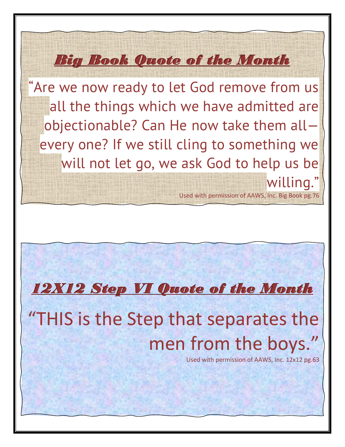"Are we now ready to let God remove from us all the things which we have admitted are objectionable? Can He now take them all every one? If we still cling to something we will not let go, we ask God to help us be willing."

*Big Book Quote of the Month* 

*12X12 Step VI Quote of the Month* 

# "THIS is the Step that separates the men from the boys.'

Used with permission of AAWS, Inc. 12x12 pg.63

Used with permission of AAWS, Inc. Big Book pg.76